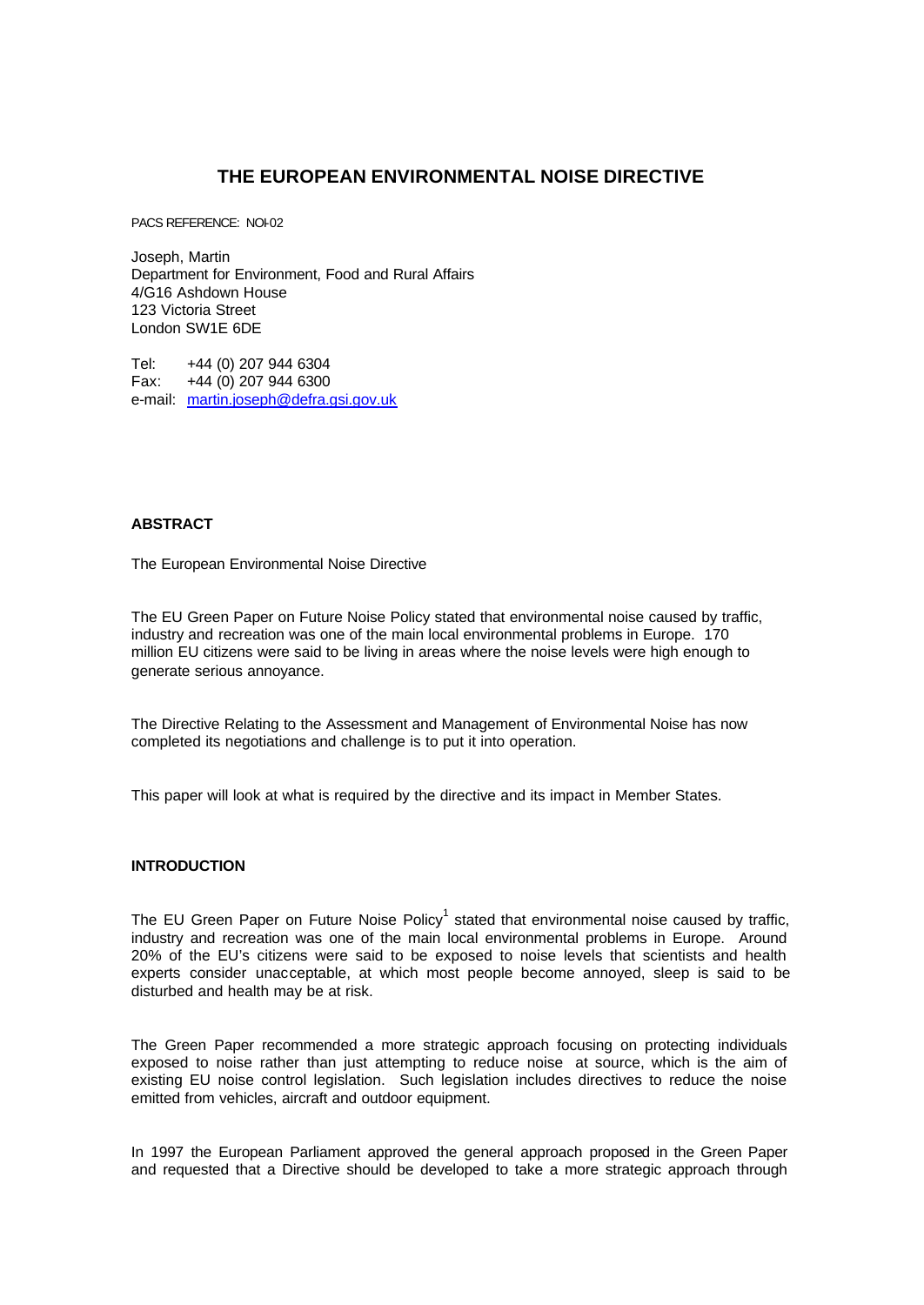# **THE EUROPEAN ENVIRONMENTAL NOISE DIRECTIVE**

PACS REFERENCE: NOI-02

Joseph, Martin Department for Environment, Food and Rural Affairs 4/G16 Ashdown House 123 Victoria Street London SW1E 6DE

Tel: +44 (0) 207 944 6304 Fax: +44 (0) 207 944 6300 e-mail: martin.joseph@defra.gsi.gov.uk

# **ABSTRACT**

The European Environmental Noise Directive

The EU Green Paper on Future Noise Policy stated that environmental noise caused by traffic, industry and recreation was one of the main local environmental problems in Europe. 170 million EU citizens were said to be living in areas where the noise levels were high enough to generate serious annoyance.

The Directive Relating to the Assessment and Management of Environmental Noise has now completed its negotiations and challenge is to put it into operation.

This paper will look at what is required by the directive and its impact in Member States.

## **INTRODUCTION**

The EU Green Paper on Future Noise Policy<sup>1</sup> stated that environmental noise caused by traffic, industry and recreation was one of the main local environmental problems in Europe. Around 20% of the EU's citizens were said to be exposed to noise levels that scientists and health experts consider unacceptable, at which most people become annoyed, sleep is said to be disturbed and health may be at risk.

The Green Paper recommended a more strategic approach focusing on protecting individuals exposed to noise rather than just attempting to reduce noise at source, which is the aim of existing EU noise control legislation. Such legislation includes directives to reduce the noise emitted from vehicles, aircraft and outdoor equipment.

In 1997 the European Parliament approved the general approach proposed in the Green Paper and requested that a Directive should be developed to take a more strategic approach through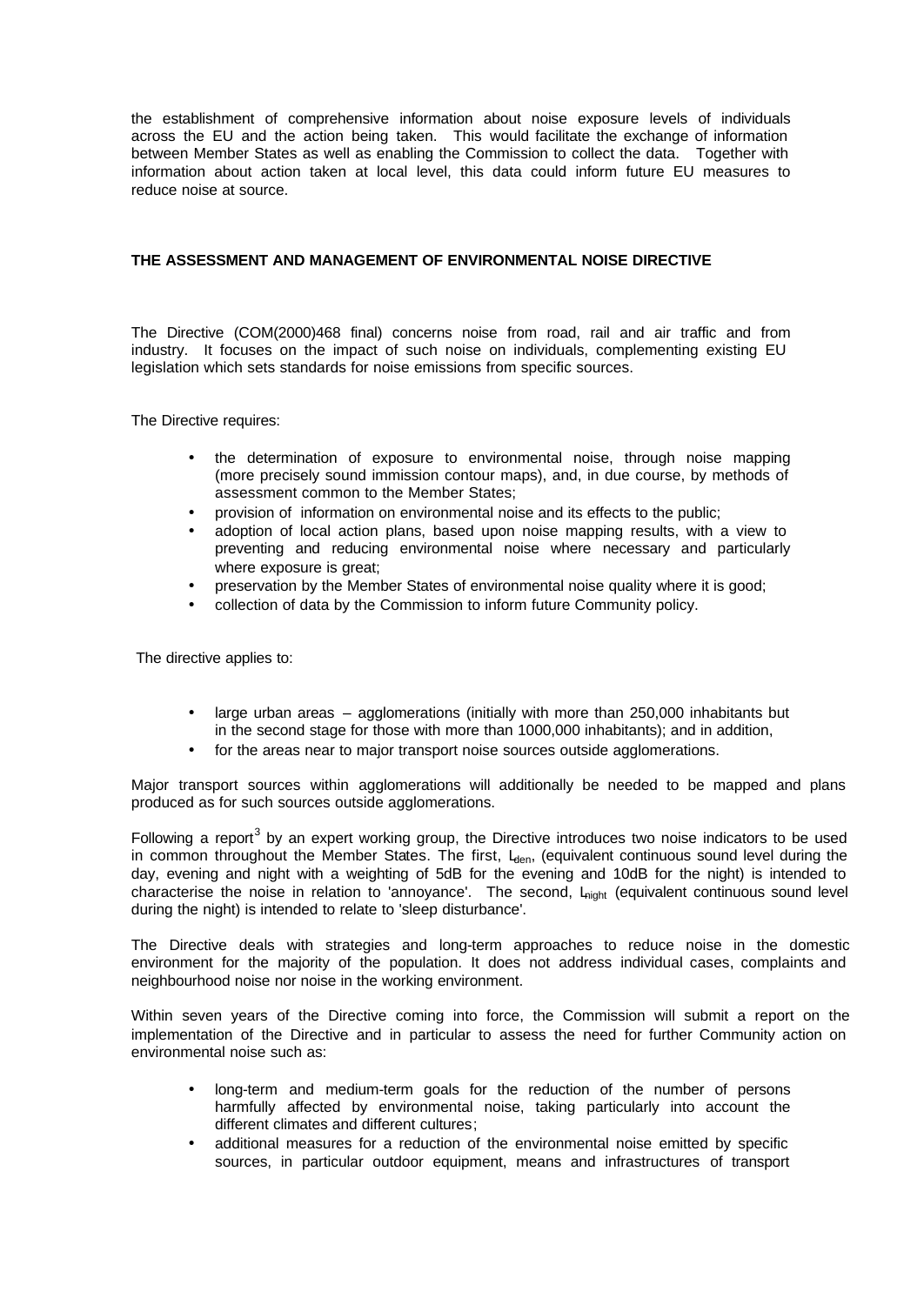the establishment of comprehensive information about noise exposure levels of individuals across the EU and the action being taken. This would facilitate the exchange of information between Member States as well as enabling the Commission to collect the data. Together with information about action taken at local level, this data could inform future EU measures to reduce noise at source.

## **THE ASSESSMENT AND MANAGEMENT OF ENVIRONMENTAL NOISE DIRECTIVE**

The Directive (COM(2000)468 final) concerns noise from road, rail and air traffic and from industry. It focuses on the impact of such noise on individuals, complementing existing EU legislation which sets standards for noise emissions from specific sources.

The Directive requires:

- the determination of exposure to environmental noise, through noise mapping (more precisely sound immission contour maps), and, in due course, by methods of assessment common to the Member States;
- provision of information on environmental noise and its effects to the public;
- adoption of local action plans, based upon noise mapping results, with a view to preventing and reducing environmental noise where necessary and particularly where exposure is great;
- preservation by the Member States of environmental noise quality where it is good;
- collection of data by the Commission to inform future Community policy.

The directive applies to:

- large urban areas agglomerations (initially with more than 250,000 inhabitants but in the second stage for those with more than 1000,000 inhabitants); and in addition,
- for the areas near to major transport noise sources outside agglomerations.

Major transport sources within agglomerations will additionally be needed to be mapped and plans produced as for such sources outside agglomerations.

Following a report<sup>3</sup> by an expert working group, the Directive introduces two noise indicators to be used in common throughout the Member States. The first,  $L_{den}$ , (equivalent continuous sound level during the day, evening and night with a weighting of 5dB for the evening and 10dB for the night) is intended to characterise the noise in relation to 'annoyance'. The second, L<sub>night</sub> (equivalent continuous sound level during the night) is intended to relate to 'sleep disturbance'.

The Directive deals with strategies and long-term approaches to reduce noise in the domestic environment for the majority of the population. It does not address individual cases, complaints and neighbourhood noise nor noise in the working environment.

Within seven years of the Directive coming into force, the Commission will submit a report on the implementation of the Directive and in particular to assess the need for further Community action on environmental noise such as:

- long-term and medium-term goals for the reduction of the number of persons harmfully affected by environmental noise, taking particularly into account the different climates and different cultures;
- additional measures for a reduction of the environmental noise emitted by specific sources, in particular outdoor equipment, means and infrastructures of transport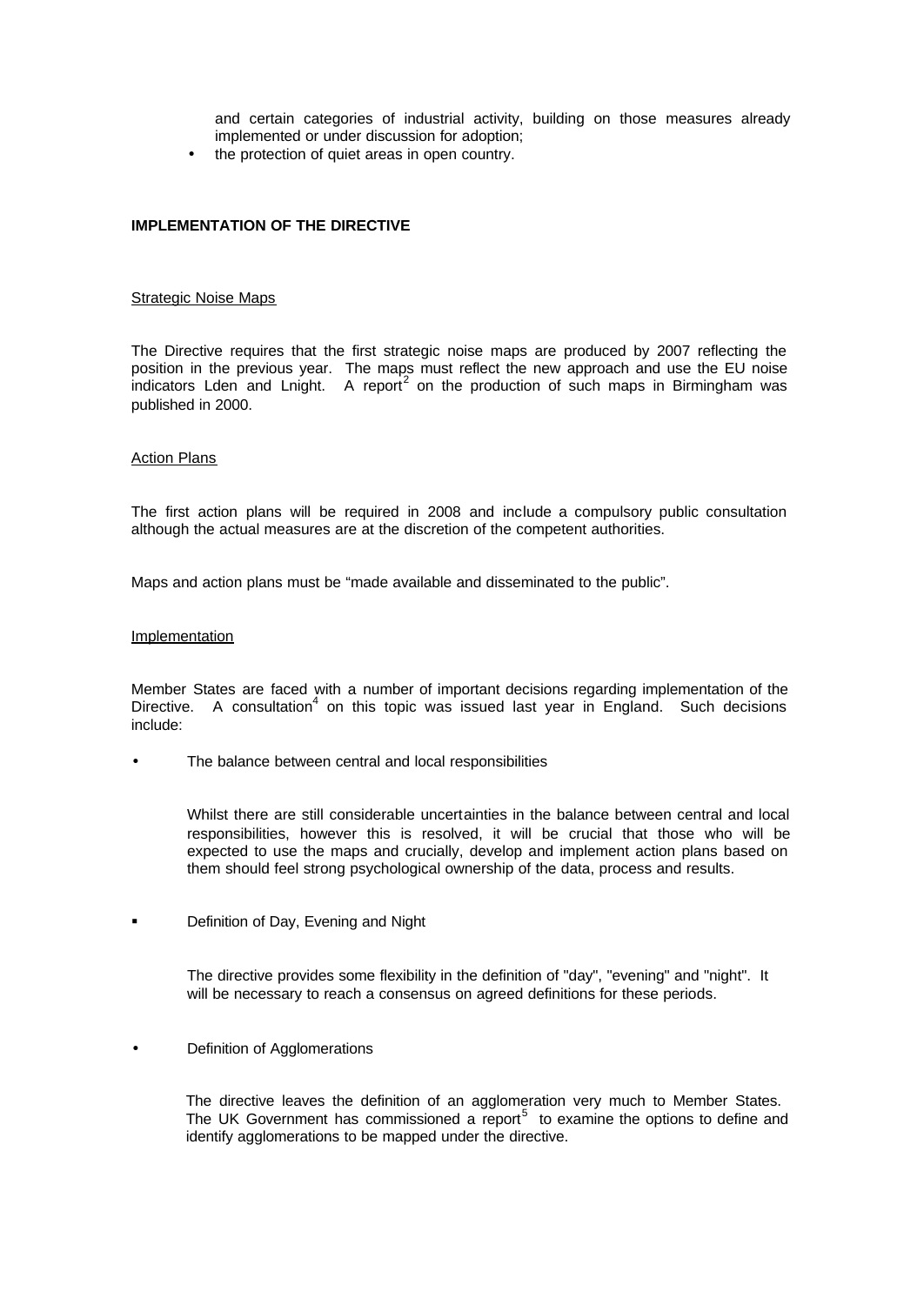and certain categories of industrial activity, building on those measures already implemented or under discussion for adoption;

the protection of quiet areas in open country.

## **IMPLEMENTATION OF THE DIRECTIVE**

### Strategic Noise Maps

The Directive requires that the first strategic noise maps are produced by 2007 reflecting the position in the previous year. The maps must reflect the new approach and use the EU noise indicators Lden and Lnight. A report<sup>2</sup> on the production of such maps in Birmingham was published in 2000.

## Action Plans

The first action plans will be required in 2008 and include a compulsory public consultation although the actual measures are at the discretion of the competent authorities.

Maps and action plans must be "made available and disseminated to the public".

#### **Implementation**

Member States are faced with a number of important decisions regarding implementation of the Directive. A consultation<sup>4</sup> on this topic was issued last year in England. Such decisions include:

The balance between central and local responsibilities

Whilst there are still considerable uncertainties in the balance between central and local responsibilities, however this is resolved, it will be crucial that those who will be expected to use the maps and crucially, develop and implement action plans based on them should feel strong psychological ownership of the data, process and results.

**•** Definition of Day, Evening and Night

The directive provides some flexibility in the definition of "day", "evening" and "night". It will be necessary to reach a consensus on agreed definitions for these periods.

Definition of Agglomerations

The directive leaves the definition of an agglomeration very much to Member States. The UK Government has commissioned a report<sup>5</sup> to examine the options to define and identify agglomerations to be mapped under the directive.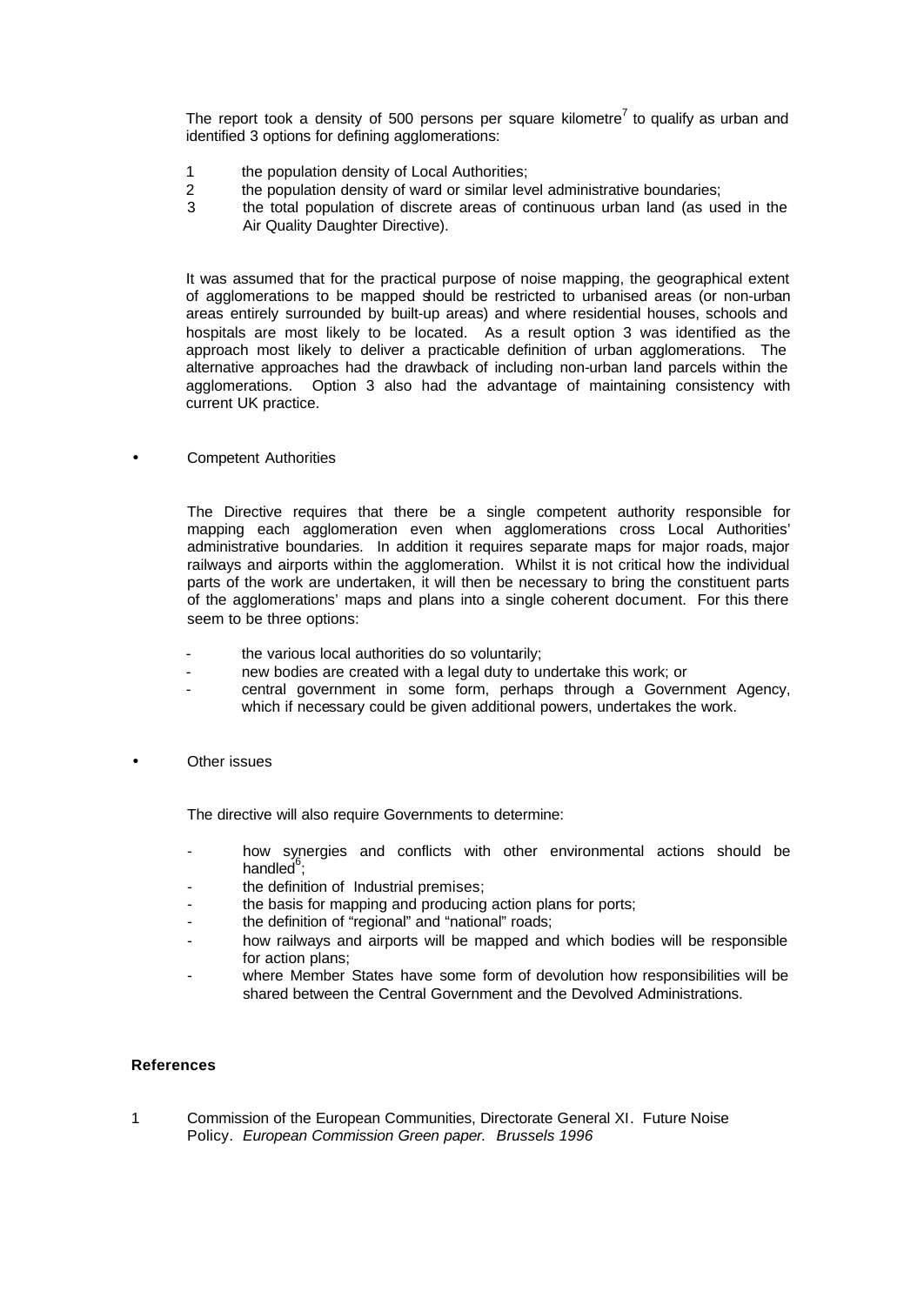The report took a density of 500 persons per square kilometre<sup>7</sup> to qualify as urban and identified 3 options for defining agglomerations:

- 1 the population density of Local Authorities;
- 2 the population density of ward or similar level administrative boundaries;
- 3 the total population of discrete areas of continuous urban land (as used in the Air Quality Daughter Directive).

It was assumed that for the practical purpose of noise mapping, the geographical extent of agglomerations to be mapped should be restricted to urbanised areas (or non-urban areas entirely surrounded by built-up areas) and where residential houses, schools and hospitals are most likely to be located. As a result option 3 was identified as the approach most likely to deliver a practicable definition of urban agglomerations. The alternative approaches had the drawback of including non-urban land parcels within the agglomerations. Option 3 also had the advantage of maintaining consistency with current UK practice.

• Competent Authorities

The Directive requires that there be a single competent authority responsible for mapping each agglomeration even when agglomerations cross Local Authorities' administrative boundaries. In addition it requires separate maps for major roads, major railways and airports within the agglomeration. Whilst it is not critical how the individual parts of the work are undertaken, it will then be necessary to bring the constituent parts of the agglomerations' maps and plans into a single coherent document. For this there seem to be three options:

- the various local authorities do so voluntarily;
- new bodies are created with a legal duty to undertake this work; or
- central government in some form, perhaps through a Government Agency, which if necessary could be given additional powers, undertakes the work.
- **Other issues**

The directive will also require Governments to determine:

- how synergies and conflicts with other environmental actions should be handled $\mathring{^{6}}$ ;
- the definition of Industrial premises;
- the basis for mapping and producing action plans for ports;
- the definition of "regional" and "national" roads;
- how railways and airports will be mapped and which bodies will be responsible for action plans;
- where Member States have some form of devolution how responsibilities will be shared between the Central Government and the Devolved Administrations.

## **References**

1 Commission of the European Communities, Directorate General XI. Future Noise Policy. *European Commission Green paper. Brussels 1996*